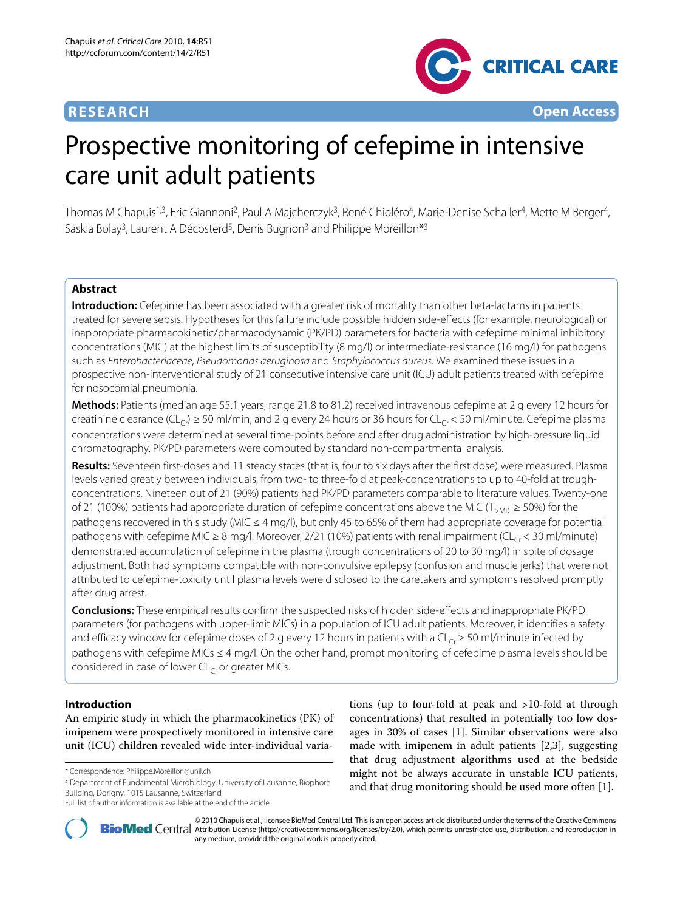## **RESEARCH Open Access**



# Prospective monitoring of cefepime in intensive care unit adult patients

Thomas M Chapuis<sup>1,3</sup>, Eric Giannoni<sup>2</sup>, Paul A Majcherczyk<sup>3</sup>, René Chioléro<sup>4</sup>, Marie-Denise Schaller<sup>4</sup>, Mette M Berger<sup>4</sup>, Saskia Bolay<sup>3</sup>, Laurent A Décosterd<sup>5</sup>, Denis Bugnon<sup>3</sup> and Philippe Moreillon<sup>\*3</sup>

## **Abstract**

**Introduction:** Cefepime has been associated with a greater risk of mortality than other beta-lactams in patients treated for severe sepsis. Hypotheses for this failure include possible hidden side-effects (for example, neurological) or inappropriate pharmacokinetic/pharmacodynamic (PK/PD) parameters for bacteria with cefepime minimal inhibitory concentrations (MIC) at the highest limits of susceptibility (8 mg/l) or intermediate-resistance (16 mg/l) for pathogens such as Enterobacteriaceae, Pseudomonas aeruginosa and Staphylococcus aureus. We examined these issues in a prospective non-interventional study of 21 consecutive intensive care unit (ICU) adult patients treated with cefepime for nosocomial pneumonia.

**Methods:** Patients (median age 55.1 years, range 21.8 to 81.2) received intravenous cefepime at 2 g every 12 hours for creatinine clearance (CL<sub>Cr</sub>) ≥ 50 ml/min, and 2 g every 24 hours or 36 hours for CL<sub>Cr</sub> < 50 ml/minute. Cefepime plasma concentrations were determined at several time-points before and after drug administration by high-pressure liquid chromatography. PK/PD parameters were computed by standard non-compartmental analysis.

**Results:** Seventeen first-doses and 11 steady states (that is, four to six days after the first dose) were measured. Plasma levels varied greatly between individuals, from two- to three-fold at peak-concentrations to up to 40-fold at troughconcentrations. Nineteen out of 21 (90%) patients had PK/PD parameters comparable to literature values. Twenty-one of 21 (100%) patients had appropriate duration of cefepime concentrations above the MIC (T<sub>>MIC</sub> ≥ 50%) for the pathogens recovered in this study (MIC ≤ 4 mg/l), but only 45 to 65% of them had appropriate coverage for potential pathogens with cefepime MIC  $\geq 8$  mg/l. Moreover, 2/21 (10%) patients with renal impairment (CL<sub>CC</sub> < 30 ml/minute) demonstrated accumulation of cefepime in the plasma (trough concentrations of 20 to 30 mg/l) in spite of dosage adjustment. Both had symptoms compatible with non-convulsive epilepsy (confusion and muscle jerks) that were not attributed to cefepime-toxicity until plasma levels were disclosed to the caretakers and symptoms resolved promptly after drug arrest.

**Conclusions:** These empirical results confirm the suspected risks of hidden side-effects and inappropriate PK/PD parameters (for pathogens with upper-limit MICs) in a population of ICU adult patients. Moreover, it identifies a safety and efficacy window for cefepime doses of 2 g every 12 hours in patients with a CL<sub>Cr</sub> ≥ 50 ml/minute infected by pathogens with cefepime MICs ≤ 4 mg/l. On the other hand, prompt monitoring of cefepime plasma levels should be considered in case of lower  $CL<sub>Cr</sub>$  or greater MICs.

## **Introduction**

An empiric study in which the pharmacokinetics (PK) of imipenem were prospectively monitored in intensive care unit (ICU) children revealed wide inter-individual varia-

<sup>3</sup> Department of Fundamental Microbiology, University of Lausanne, Biophore Building, Dorigny, 1015 Lausanne, Switzerland

tions (up to four-fold at peak and >10-fold at through concentrations) that resulted in potentially too low dosages in 30% of cases [\[1](#page-8-0)]. Similar observations were also made with imipenem in adult patients [\[2](#page-8-1),[3](#page-8-2)], suggesting that drug adjustment algorithms used at the bedside might not be always accurate in unstable ICU patients, and that drug monitoring should be used more often [[1\]](#page-8-0).



2010 Chapuis et al., licensee [BioMed](http://www.biomedcentral.com/) Central Ltd. This is an open access article distributed under the terms of the Creative Commons (http://creativecommons.org/licenses/by/2.0), which permits unrestricted use, distributio any medium, provided the original work is properly cited.

<sup>\*</sup> Correspondence: Philippe.Moreillon@unil.ch

Full list of author information is available at the end of the article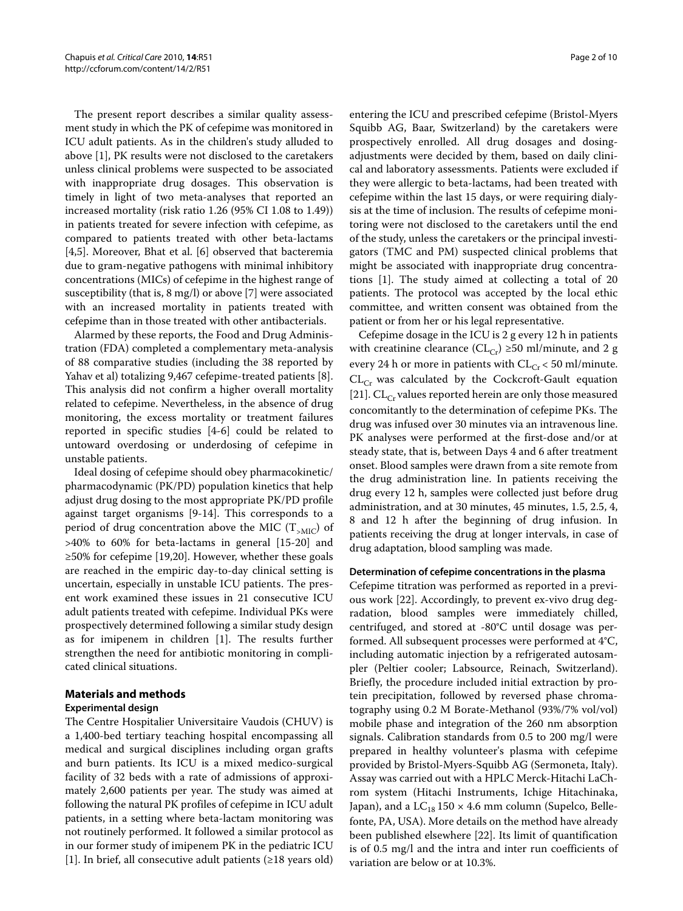The present report describes a similar quality assessment study in which the PK of cefepime was monitored in ICU adult patients. As in the children's study alluded to above [\[1](#page-8-0)], PK results were not disclosed to the caretakers unless clinical problems were suspected to be associated with inappropriate drug dosages. This observation is timely in light of two meta-analyses that reported an increased mortality (risk ratio 1.26 (95% CI 1.08 to 1.49)) in patients treated for severe infection with cefepime, as compared to patients treated with other beta-lactams [[4,](#page-8-3)[5\]](#page-8-4). Moreover, Bhat et al. [\[6](#page-8-5)] observed that bacteremia due to gram-negative pathogens with minimal inhibitory concentrations (MICs) of cefepime in the highest range of susceptibility (that is, 8 mg/l) or above [[7\]](#page-8-6) were associated with an increased mortality in patients treated with cefepime than in those treated with other antibacterials.

Alarmed by these reports, the Food and Drug Administration (FDA) completed a complementary meta-analysis of 88 comparative studies (including the 38 reported by Yahav et al) totalizing 9,467 cefepime-treated patients [\[8](#page-8-7)]. This analysis did not confirm a higher overall mortality related to cefepime. Nevertheless, in the absence of drug monitoring, the excess mortality or treatment failures reported in specific studies [\[4-](#page-8-3)[6\]](#page-8-5) could be related to untoward overdosing or underdosing of cefepime in unstable patients.

Ideal dosing of cefepime should obey pharmacokinetic/ pharmacodynamic (PK/PD) population kinetics that help adjust drug dosing to the most appropriate PK/PD profile against target organisms [[9-](#page-8-8)[14\]](#page-9-0). This corresponds to a period of drug concentration above the MIC  $(T<sub>></sub>$ <sub>MIC</sub>) of >40% to 60% for beta-lactams in general [[15](#page-9-1)[-20](#page-9-2)] and ≥50% for cefepime [\[19](#page-9-3)[,20](#page-9-2)]. However, whether these goals are reached in the empiric day-to-day clinical setting is uncertain, especially in unstable ICU patients. The present work examined these issues in 21 consecutive ICU adult patients treated with cefepime. Individual PKs were prospectively determined following a similar study design as for imipenem in children [\[1](#page-8-0)]. The results further strengthen the need for antibiotic monitoring in complicated clinical situations.

## **Materials and methods**

## **Experimental design**

The Centre Hospitalier Universitaire Vaudois (CHUV) is a 1,400-bed tertiary teaching hospital encompassing all medical and surgical disciplines including organ grafts and burn patients. Its ICU is a mixed medico-surgical facility of 32 beds with a rate of admissions of approximately 2,600 patients per year. The study was aimed at following the natural PK profiles of cefepime in ICU adult patients, in a setting where beta-lactam monitoring was not routinely performed. It followed a similar protocol as in our former study of imipenem PK in the pediatric ICU [[1\]](#page-8-0). In brief, all consecutive adult patients (≥18 years old)

entering the ICU and prescribed cefepime (Bristol-Myers Squibb AG, Baar, Switzerland) by the caretakers were prospectively enrolled. All drug dosages and dosingadjustments were decided by them, based on daily clinical and laboratory assessments. Patients were excluded if they were allergic to beta-lactams, had been treated with cefepime within the last 15 days, or were requiring dialysis at the time of inclusion. The results of cefepime monitoring were not disclosed to the caretakers until the end of the study, unless the caretakers or the principal investigators (TMC and PM) suspected clinical problems that might be associated with inappropriate drug concentrations [[1\]](#page-8-0). The study aimed at collecting a total of 20 patients. The protocol was accepted by the local ethic committee, and written consent was obtained from the patient or from her or his legal representative.

Cefepime dosage in the ICU is 2 g every 12 h in patients with creatinine clearance ( $CL_{Cr}$ ) ≥50 ml/minute, and 2 g every 24 h or more in patients with  $CL_{Cr}$  < 50 ml/minute.  $CL<sub>Cr</sub>$  was calculated by the Cockcroft-Gault equation [[21\]](#page-9-4).  $CL<sub>Cr</sub>$  values reported herein are only those measured concomitantly to the determination of cefepime PKs. The drug was infused over 30 minutes via an intravenous line. PK analyses were performed at the first-dose and/or at steady state, that is, between Days 4 and 6 after treatment onset. Blood samples were drawn from a site remote from the drug administration line. In patients receiving the drug every 12 h, samples were collected just before drug administration, and at 30 minutes, 45 minutes, 1.5, 2.5, 4, 8 and 12 h after the beginning of drug infusion. In patients receiving the drug at longer intervals, in case of drug adaptation, blood sampling was made.

#### **Determination of cefepime concentrations in the plasma**

Cefepime titration was performed as reported in a previous work [[22](#page-9-5)]. Accordingly, to prevent ex-vivo drug degradation, blood samples were immediately chilled, centrifuged, and stored at -80°C until dosage was performed. All subsequent processes were performed at 4°C, including automatic injection by a refrigerated autosampler (Peltier cooler; Labsource, Reinach, Switzerland). Briefly, the procedure included initial extraction by protein precipitation, followed by reversed phase chromatography using 0.2 M Borate-Methanol (93%/7% vol/vol) mobile phase and integration of the 260 nm absorption signals. Calibration standards from 0.5 to 200 mg/l were prepared in healthy volunteer's plasma with cefepime provided by Bristol-Myers-Squibb AG (Sermoneta, Italy). Assay was carried out with a HPLC Merck-Hitachi LaChrom system (Hitachi Instruments, Ichige Hitachinaka, Japan), and a  $LC_{18}$  150  $\times$  4.6 mm column (Supelco, Bellefonte, PA, USA). More details on the method have already been published elsewhere [[22\]](#page-9-5). Its limit of quantification is of 0.5 mg/l and the intra and inter run coefficients of variation are below or at 10.3%.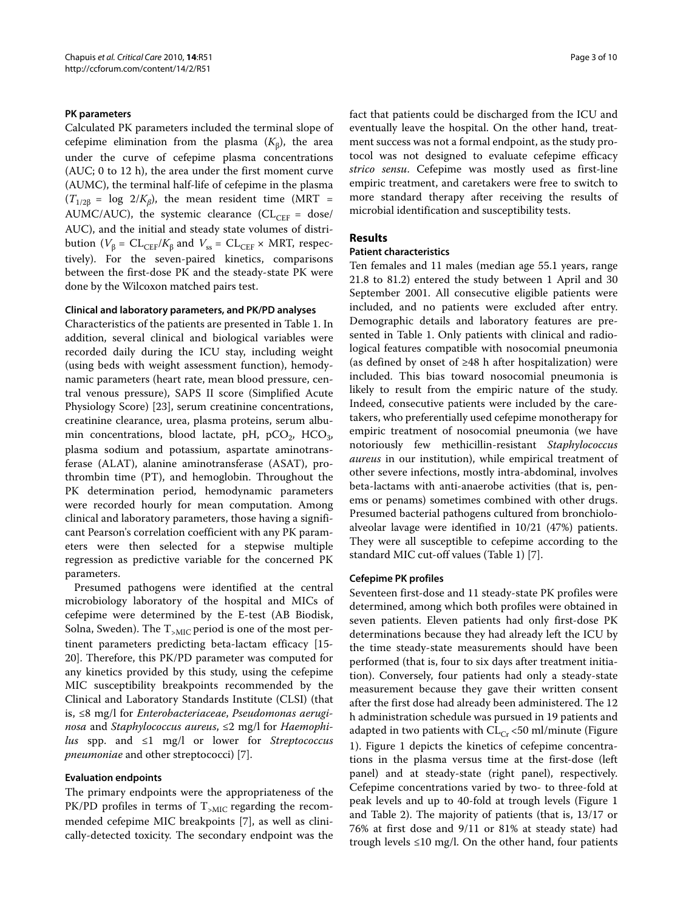## **PK parameters**

Calculated PK parameters included the terminal slope of cefepime elimination from the plasma  $(K_B)$ , the area under the curve of cefepime plasma concentrations (AUC; 0 to 12 h), the area under the first moment curve (AUMC), the terminal half-life of cefepime in the plasma  $(T_{1/2\beta} = \log 2/K_{\beta})$ , the mean resident time (MRT = AUMC/AUC), the systemic clearance (CL<sub>CEF</sub> = dose/ AUC), and the initial and steady state volumes of distribution ( $V_{\beta}$  =  $CL_{CEF}/K_{\beta}$  and  $V_{ss}$  =  $CL_{CEF}$  × MRT, respectively). For the seven-paired kinetics, comparisons between the first-dose PK and the steady-state PK were done by the Wilcoxon matched pairs test.

### **Clinical and laboratory parameters, and PK/PD analyses**

Characteristics of the patients are presented in Table [1](#page-3-0). In addition, several clinical and biological variables were recorded daily during the ICU stay, including weight (using beds with weight assessment function), hemodynamic parameters (heart rate, mean blood pressure, central venous pressure), SAPS II score (Simplified Acute Physiology Score) [[23\]](#page-9-6), serum creatinine concentrations, creatinine clearance, urea, plasma proteins, serum albumin concentrations, blood lactate, pH, pCO<sub>2</sub>, HCO<sub>3</sub>, plasma sodium and potassium, aspartate aminotransferase (ALAT), alanine aminotransferase (ASAT), prothrombin time (PT), and hemoglobin. Throughout the PK determination period, hemodynamic parameters were recorded hourly for mean computation. Among clinical and laboratory parameters, those having a significant Pearson's correlation coefficient with any PK parameters were then selected for a stepwise multiple regression as predictive variable for the concerned PK parameters.

Presumed pathogens were identified at the central microbiology laboratory of the hospital and MICs of cefepime were determined by the E-test (AB Biodisk, Solna, Sweden). The  $T_{\text{SMIC}}$  period is one of the most pertinent parameters predicting beta-lactam efficacy [\[15-](#page-9-1) [20](#page-9-2)]. Therefore, this PK/PD parameter was computed for any kinetics provided by this study, using the cefepime MIC susceptibility breakpoints recommended by the Clinical and Laboratory Standards Institute (CLSI) (that is, ≤8 mg/l for *Enterobacteriaceae*, *Pseudomonas aeruginosa* and *Staphylococcus aureus*, ≤2 mg/l for *Haemophilus* spp. and ≤1 mg/l or lower for *Streptococcus pneumoniae* and other streptococci) [[7\]](#page-8-6).

## **Evaluation endpoints**

The primary endpoints were the appropriateness of the PK/PD profiles in terms of  $T_{\text{SMIC}}$  regarding the recommended cefepime MIC breakpoints [[7\]](#page-8-6), as well as clinically-detected toxicity. The secondary endpoint was the fact that patients could be discharged from the ICU and eventually leave the hospital. On the other hand, treatment success was not a formal endpoint, as the study protocol was not designed to evaluate cefepime efficacy *strico sensu*. Cefepime was mostly used as first-line empiric treatment, and caretakers were free to switch to more standard therapy after receiving the results of microbial identification and susceptibility tests.

## **Results**

#### **Patient characteristics**

Ten females and 11 males (median age 55.1 years, range 21.8 to 81.2) entered the study between 1 April and 30 September 2001. All consecutive eligible patients were included, and no patients were excluded after entry. Demographic details and laboratory features are presented in Table 1. Only patients with clinical and radiological features compatible with nosocomial pneumonia (as defined by onset of ≥48 h after hospitalization) were included. This bias toward nosocomial pneumonia is likely to result from the empiric nature of the study. Indeed, consecutive patients were included by the caretakers, who preferentially used cefepime monotherapy for empiric treatment of nosocomial pneumonia (we have notoriously few methicillin-resistant *Staphylococcus aureus* in our institution), while empirical treatment of other severe infections, mostly intra-abdominal, involves beta-lactams with anti-anaerobe activities (that is, penems or penams) sometimes combined with other drugs. Presumed bacterial pathogens cultured from bronchioloalveolar lavage were identified in 10/21 (47%) patients. They were all susceptible to cefepime according to the standard MIC cut-off values (Table 1) [\[7](#page-8-6)].

#### **Cefepime PK profiles**

Seventeen first-dose and 11 steady-state PK profiles were determined, among which both profiles were obtained in seven patients. Eleven patients had only first-dose PK determinations because they had already left the ICU by the time steady-state measurements should have been performed (that is, four to six days after treatment initiation). Conversely, four patients had only a steady-state measurement because they gave their written consent after the first dose had already been administered. The 12 h administration schedule was pursued in 19 patients and adapted in two patients with  $CL_{Cr}$  <50 ml/minute (Figure [1\)](#page-4-0). Figure [1](#page-4-0) depicts the kinetics of cefepime concentrations in the plasma versus time at the first-dose (left panel) and at steady-state (right panel), respectively. Cefepime concentrations varied by two- to three-fold at peak levels and up to 40-fold at trough levels (Figure [1](#page-4-0) and Table 2). The majority of patients (that is, 13/17 or 76% at first dose and 9/11 or 81% at steady state) had trough levels  $\leq 10$  mg/l. On the other hand, four patients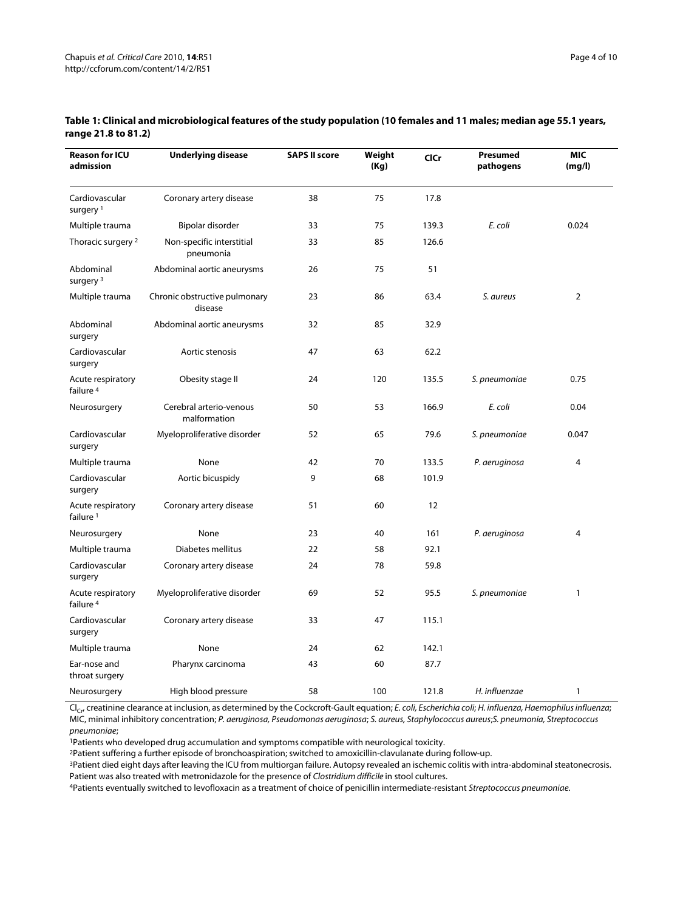| <b>Reason for ICU</b><br>admission        | <b>Underlying disease</b>                | <b>SAPS II score</b> | Weight<br>(Kg) | <b>CICr</b> | Presumed<br>pathogens | <b>MIC</b><br>(mg/l) |
|-------------------------------------------|------------------------------------------|----------------------|----------------|-------------|-----------------------|----------------------|
| Cardiovascular<br>surgery <sup>1</sup>    | Coronary artery disease                  | 38                   | 75             | 17.8        |                       |                      |
| Multiple trauma                           | Bipolar disorder                         | 33                   | 75             | 139.3       | E. coli               | 0.024                |
| Thoracic surgery 2                        | Non-specific interstitial<br>pneumonia   | 33                   | 85             | 126.6       |                       |                      |
| Abdominal<br>surgery <sup>3</sup>         | Abdominal aortic aneurysms               | 26                   | 75             | 51          |                       |                      |
| Multiple trauma                           | Chronic obstructive pulmonary<br>disease | 23                   | 86             | 63.4        | S. aureus             | $\mathbf 2$          |
| Abdominal<br>surgery                      | Abdominal aortic aneurysms               | 32                   | 85             | 32.9        |                       |                      |
| Cardiovascular<br>surgery                 | Aortic stenosis                          | 47                   | 63             | 62.2        |                       |                      |
| Acute respiratory<br>failure <sup>4</sup> | Obesity stage II                         | 24                   | 120            | 135.5       | S. pneumoniae         | 0.75                 |
| Neurosurgery                              | Cerebral arterio-venous<br>malformation  | 50                   | 53             | 166.9       | E. coli               | 0.04                 |
| Cardiovascular<br>surgery                 | Myeloproliferative disorder              | 52                   | 65             | 79.6        | S. pneumoniae         | 0.047                |
| Multiple trauma                           | None                                     | 42                   | 70             | 133.5       | P. aeruginosa         | $\overline{4}$       |
| Cardiovascular<br>surgery                 | Aortic bicuspidy                         | 9                    | 68             | 101.9       |                       |                      |
| Acute respiratory<br>failure <sup>1</sup> | Coronary artery disease                  | 51                   | 60             | 12          |                       |                      |
| Neurosurgery                              | None                                     | 23                   | 40             | 161         | P. aeruginosa         | 4                    |
| Multiple trauma                           | Diabetes mellitus                        | 22                   | 58             | 92.1        |                       |                      |
| Cardiovascular<br>surgery                 | Coronary artery disease                  | 24                   | 78             | 59.8        |                       |                      |
| Acute respiratory<br>failure <sup>4</sup> | Myeloproliferative disorder              | 69                   | 52             | 95.5        | S. pneumoniae         | $\mathbf{1}$         |
| Cardiovascular<br>surgery                 | Coronary artery disease                  | 33                   | 47             | 115.1       |                       |                      |
| Multiple trauma                           | None                                     | 24                   | 62             | 142.1       |                       |                      |
| Ear-nose and<br>throat surgery            | Pharynx carcinoma                        | 43                   | 60             | 87.7        |                       |                      |
| Neurosurgery                              | High blood pressure                      | 58                   | 100            | 121.8       | H. influenzae         | $\mathbf{1}$         |

### <span id="page-3-0"></span>**Table 1: Clinical and microbiological features of the study population (10 females and 11 males; median age 55.1 years, range 21.8 to 81.2)**

 $Cl_{C}$ , creatinine clearance at inclusion, as determined by the Cockcroft-Gault equation; E. coli, Escherichia coli; H. influenza, Haemophilus influenza; MIC, minimal inhibitory concentration; P. aeruginosa, Pseudomonas aeruginosa; S. aureus, Staphylococcus aureus;S. pneumonia, Streptococcus pneumoniae;

<sup>1</sup>Patients who developed drug accumulation and symptoms compatible with neurological toxicity.

2Patient suffering a further episode of bronchoaspiration; switched to amoxicillin-clavulanate during follow-up.

<sup>3</sup>Patient died eight days after leaving the ICU from multiorgan failure. Autopsy revealed an ischemic colitis with intra-abdominal steatonecrosis. Patient was also treated with metronidazole for the presence of Clostridium difficile in stool cultures.

4Patients eventually switched to levofloxacin as a treatment of choice of penicillin intermediate-resistant Streptococcus pneumoniae.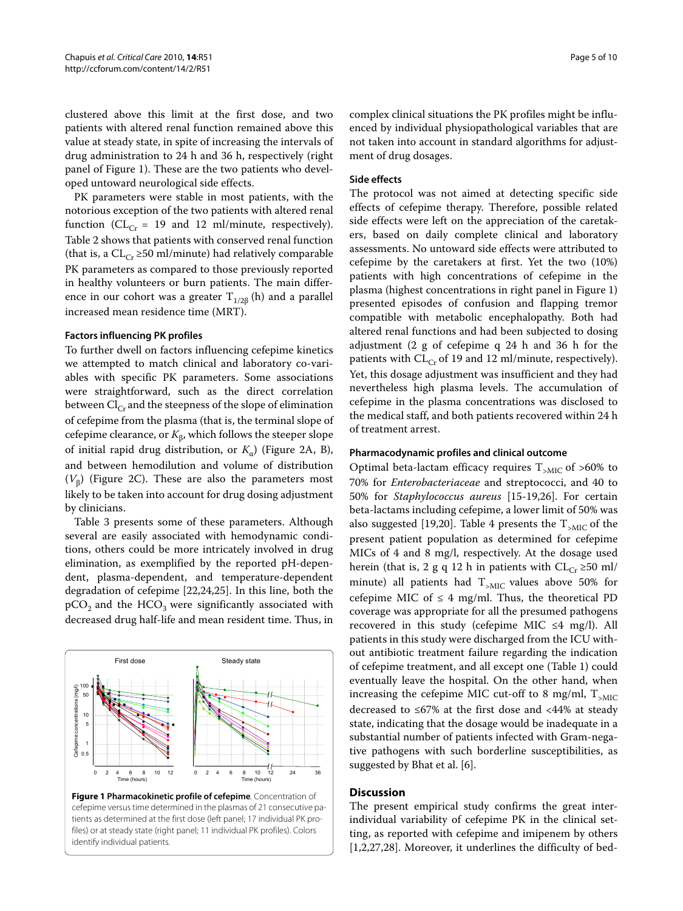clustered above this limit at the first dose, and two patients with altered renal function remained above this value at steady state, in spite of increasing the intervals of drug administration to 24 h and 36 h, respectively (right panel of Figure [1\)](#page-4-0). These are the two patients who developed untoward neurological side effects.

PK parameters were stable in most patients, with the notorious exception of the two patients with altered renal function ( $CL_{Cr}$  = 19 and 12 ml/minute, respectively). Table 2 shows that patients with conserved renal function (that is, a  $CL_{Cr} \geq 50$  ml/minute) had relatively comparable PK parameters as compared to those previously reported in healthy volunteers or burn patients. The main difference in our cohort was a greater  $T_{1/26}$  (h) and a parallel increased mean residence time (MRT).

#### **Factors influencing PK profiles**

To further dwell on factors influencing cefepime kinetics we attempted to match clinical and laboratory co-variables with specific PK parameters. Some associations were straightforward, such as the direct correlation between  $Cl_{Cr}$  and the steepness of the slope of elimination of cefepime from the plasma (that is, the terminal slope of cefepime clearance, or  $K_{\beta}$ , which follows the steeper slope of initial rapid drug distribution, or *K*α) (Figure [2A](#page-6-0), B), and between hemodilution and volume of distribution  $(V_{\beta})$  (Figure [2C](#page-6-0)). These are also the parameters most likely to be taken into account for drug dosing adjustment by clinicians.

Table 3 presents some of these parameters. Although several are easily associated with hemodynamic conditions, others could be more intricately involved in drug elimination, as exemplified by the reported pH-dependent, plasma-dependent, and temperature-dependent degradation of cefepime [[22,](#page-9-5)[24,](#page-9-7)[25\]](#page-9-8). In this line, both the  $pCO<sub>2</sub>$  and the HCO<sub>3</sub> were significantly associated with decreased drug half-life and mean resident time. Thus, in

<span id="page-4-0"></span>

**Figure 1 Pharmacokinetic profile of cefepime**. Concentration of cefepime versus time determined in the plasmas of 21 consecutive patients as determined at the first dose (left panel; 17 individual PK profiles) or at steady state (right panel; 11 individual PK profiles). Colors identify individual patients.

complex clinical situations the PK profiles might be influenced by individual physiopathological variables that are not taken into account in standard algorithms for adjustment of drug dosages.

## **Side effects**

The protocol was not aimed at detecting specific side effects of cefepime therapy. Therefore, possible related side effects were left on the appreciation of the caretakers, based on daily complete clinical and laboratory assessments. No untoward side effects were attributed to cefepime by the caretakers at first. Yet the two (10%) patients with high concentrations of cefepime in the plasma (highest concentrations in right panel in Figure [1](#page-4-0)) presented episodes of confusion and flapping tremor compatible with metabolic encephalopathy. Both had altered renal functions and had been subjected to dosing adjustment (2 g of cefepime q 24 h and 36 h for the patients with  $CL_{Cr}$  of 19 and 12 ml/minute, respectively). Yet, this dosage adjustment was insufficient and they had nevertheless high plasma levels. The accumulation of cefepime in the plasma concentrations was disclosed to the medical staff, and both patients recovered within 24 h of treatment arrest.

#### **Pharmacodynamic profiles and clinical outcome**

Optimal beta-lactam efficacy requires  $T_{\text{SMIC}}$  of >60% to 70% for *Enterobacteriaceae* and streptococci, and 40 to 50% for *Staphylococcus aureus* [\[15](#page-9-1)-[19,](#page-9-3)[26\]](#page-9-9). For certain beta-lactams including cefepime, a lower limit of 50% was also suggested [\[19](#page-9-3)[,20](#page-9-2)]. Table 4 presents the  $T_{\text{MIC}}$  of the present patient population as determined for cefepime MICs of 4 and 8 mg/l, respectively. At the dosage used herein (that is, 2 g q 12 h in patients with  $CL_{Cr} \geq 50$  ml/ minute) all patients had  $T_{\text{SMIC}}$  values above 50% for cefepime MIC of  $\leq$  4 mg/ml. Thus, the theoretical PD coverage was appropriate for all the presumed pathogens recovered in this study (cefepime MIC  $\leq$ 4 mg/l). All patients in this study were discharged from the ICU without antibiotic treatment failure regarding the indication of cefepime treatment, and all except one (Table 1) could eventually leave the hospital. On the other hand, when increasing the cefepime MIC cut-off to 8 mg/ml,  $T_{\text{SMIC}}$ decreased to ≤67% at the first dose and <44% at steady state, indicating that the dosage would be inadequate in a substantial number of patients infected with Gram-negative pathogens with such borderline susceptibilities, as suggested by Bhat et al. [[6\]](#page-8-5).

### **Discussion**

The present empirical study confirms the great interindividual variability of cefepime PK in the clinical setting, as reported with cefepime and imipenem by others [[1,](#page-8-0)[2](#page-8-1)[,27](#page-9-10)[,28](#page-9-11)]. Moreover, it underlines the difficulty of bed-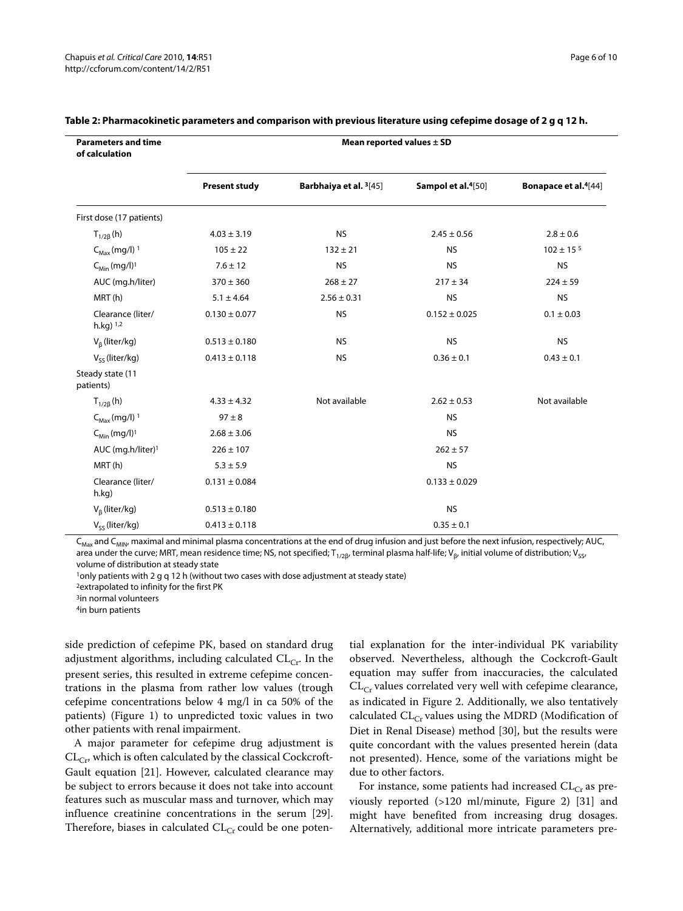| <b>Parameters and time</b><br>of calculation | Mean reported values $\pm$ SD |                                    |                                |                                         |  |  |
|----------------------------------------------|-------------------------------|------------------------------------|--------------------------------|-----------------------------------------|--|--|
|                                              | <b>Present study</b>          | Barbhaiya et al. <sup>3</sup> [45] | Sampol et al. <sup>4[50]</sup> | <b>Bonapace et al.</b> <sup>4[44]</sup> |  |  |
| First dose (17 patients)                     |                               |                                    |                                |                                         |  |  |
| $T_{1/2\beta}$ (h)                           | $4.03 \pm 3.19$               | <b>NS</b>                          | $2.45 \pm 0.56$                | $2.8 \pm 0.6$                           |  |  |
| $C_{\text{Max}}$ (mg/l) <sup>1</sup>         | $105 \pm 22$                  | $132 \pm 21$                       | <b>NS</b>                      | $102 \pm 15$ <sup>5</sup>               |  |  |
| $C_{Min}$ (mg/l) <sup>1</sup>                | $7.6 \pm 12$                  | <b>NS</b>                          | <b>NS</b>                      | <b>NS</b>                               |  |  |
| AUC (mg.h/liter)                             | $370 \pm 360$                 | $268 \pm 27$                       | $217 \pm 34$                   | $224 \pm 59$                            |  |  |
| MRT(h)                                       | $5.1 \pm 4.64$                | $2.56 \pm 0.31$                    | <b>NS</b>                      | <b>NS</b>                               |  |  |
| Clearance (liter/<br>$h.kq$ ) $1,2$          | $0.130 \pm 0.077$             | <b>NS</b>                          | $0.152 \pm 0.025$              | $0.1 \pm 0.03$                          |  |  |
| $V_{\beta}$ (liter/kg)                       | $0.513 \pm 0.180$             | <b>NS</b>                          | <b>NS</b>                      | <b>NS</b>                               |  |  |
| $V_{ss}$ (liter/kg)                          | $0.413 \pm 0.118$             | <b>NS</b>                          | $0.36 \pm 0.1$                 | $0.43 \pm 0.1$                          |  |  |
| Steady state (11<br>patients)                |                               |                                    |                                |                                         |  |  |
| $T_{1/2\beta}$ (h)                           | $4.33 \pm 4.32$               | Not available                      | $2.62 \pm 0.53$                | Not available                           |  |  |
| $C_{\text{Max}}$ (mg/l) <sup>1</sup>         | $97 \pm 8$                    |                                    | <b>NS</b>                      |                                         |  |  |
| $C_{Min}$ (mg/l) <sup>1</sup>                | $2.68 \pm 3.06$               |                                    | <b>NS</b>                      |                                         |  |  |
| AUC (mg.h/liter) <sup>1</sup>                | $226 \pm 107$                 |                                    | $262 \pm 57$                   |                                         |  |  |
| MRT(h)                                       | $5.3 \pm 5.9$                 |                                    | <b>NS</b>                      |                                         |  |  |
| Clearance (liter/<br>h.kg)                   | $0.131 \pm 0.084$             |                                    | $0.133 \pm 0.029$              |                                         |  |  |
| $V_{\beta}$ (liter/kg)                       | $0.513 \pm 0.180$             |                                    | <b>NS</b>                      |                                         |  |  |
| $V_{\varsigma\varsigma}$ (liter/kg)          | $0.413 \pm 0.118$             |                                    | $0.35 \pm 0.1$                 |                                         |  |  |

#### **Table 2: Pharmacokinetic parameters and comparison with previous literature using cefepime dosage of 2 g q 12 h.**

 $C_{\text{Max}}$  and  $C_{\text{MIN}}$ , maximal and minimal plasma concentrations at the end of drug infusion and just before the next infusion, respectively; AUC, area under the curve; MRT, mean residence time; NS, not specified; T<sub>1/2β</sub>, terminal plasma half-life; V<sub>β</sub>, initial volume of distribution; V<sub>SS</sub>, volume of distribution at steady state

 $1$ only patients with 2 g q 12 h (without two cases with dose adjustment at steady state)

2extrapolated to infinity for the first PK

3in normal volunteers

4in burn patients

side prediction of cefepime PK, based on standard drug adjustment algorithms, including calculated  $CL_{Cr}$ . In the present series, this resulted in extreme cefepime concentrations in the plasma from rather low values (trough cefepime concentrations below 4 mg/l in ca 50% of the patients) (Figure [1\)](#page-4-0) to unpredicted toxic values in two other patients with renal impairment.

A major parameter for cefepime drug adjustment is  $CL_{Cr}$ , which is often calculated by the classical Cockcroft-Gault equation [[21\]](#page-9-4). However, calculated clearance may be subject to errors because it does not take into account features such as muscular mass and turnover, which may influence creatinine concentrations in the serum [\[29](#page-9-15)]. Therefore, biases in calculated  $CL_{Cr}$  could be one potential explanation for the inter-individual PK variability observed. Nevertheless, although the Cockcroft-Gault equation may suffer from inaccuracies, the calculated  $CL_{Cr}$  values correlated very well with cefepime clearance, as indicated in Figure [2](#page-6-0). Additionally, we also tentatively calculated  $CL_{Cr}$  values using the MDRD (Modification of Diet in Renal Disease) method [[30\]](#page-9-16), but the results were quite concordant with the values presented herein (data not presented). Hence, some of the variations might be due to other factors.

For instance, some patients had increased  $CL_{Cr}$  as previously reported (>120 ml/minute, Figure [2\)](#page-6-0) [\[31](#page-9-17)] and might have benefited from increasing drug dosages. Alternatively, additional more intricate parameters pre-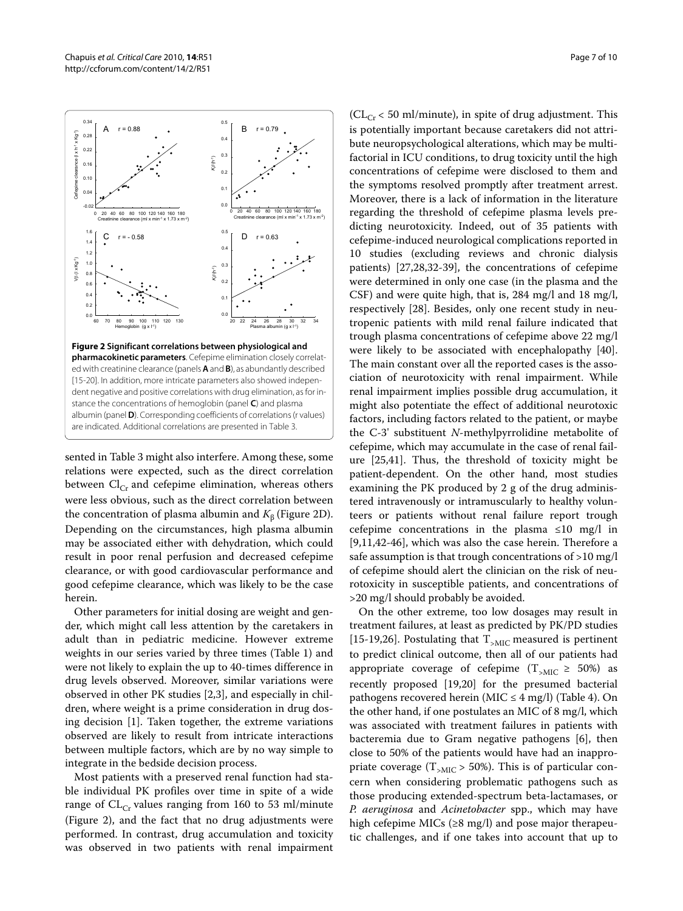sented in Table 3 might also interfere. Among these, some relations were expected, such as the direct correlation between  $Cl_{Cr}$  and cefepime elimination, whereas others were less obvious, such as the direct correlation between the concentration of plasma albumin and  $K_{\beta}$  (Figure [2D](#page-6-0)). Depending on the circumstances, high plasma albumin may be associated either with dehydration, which could result in poor renal perfusion and decreased cefepime clearance, or with good cardiovascular performance and good cefepime clearance, which was likely to be the case herein.

Other parameters for initial dosing are weight and gender, which might call less attention by the caretakers in adult than in pediatric medicine. However extreme weights in our series varied by three times (Table 1) and were not likely to explain the up to 40-times difference in drug levels observed. Moreover, similar variations were observed in other PK studies [\[2,](#page-8-1)[3](#page-8-2)], and especially in children, where weight is a prime consideration in drug dosing decision [\[1](#page-8-0)]. Taken together, the extreme variations observed are likely to result from intricate interactions between multiple factors, which are by no way simple to integrate in the bedside decision process.

Most patients with a preserved renal function had stable individual PK profiles over time in spite of a wide range of  $CL_{Cr}$  values ranging from 160 to 53 ml/minute (Figure [2\)](#page-6-0), and the fact that no drug adjustments were performed. In contrast, drug accumulation and toxicity was observed in two patients with renal impairment

 $CL<sub>Cr</sub> < 50$  ml/minute), in spite of drug adjustment. This is potentially important because caretakers did not attribute neuropsychological alterations, which may be multifactorial in ICU conditions, to drug toxicity until the high concentrations of cefepime were disclosed to them and the symptoms resolved promptly after treatment arrest. Moreover, there is a lack of information in the literature regarding the threshold of cefepime plasma levels predicting neurotoxicity. Indeed, out of 35 patients with cefepime-induced neurological complications reported in 10 studies (excluding reviews and chronic dialysis patients) [\[27](#page-9-10)[,28](#page-9-11)[,32](#page-9-18)-[39\]](#page-9-19), the concentrations of cefepime were determined in only one case (in the plasma and the CSF) and were quite high, that is, 284 mg/l and 18 mg/l, respectively [[28](#page-9-11)]. Besides, only one recent study in neutropenic patients with mild renal failure indicated that trough plasma concentrations of cefepime above 22 mg/l were likely to be associated with encephalopathy [\[40](#page-9-20)]. The main constant over all the reported cases is the association of neurotoxicity with renal impairment. While renal impairment implies possible drug accumulation, it might also potentiate the effect of additional neurotoxic factors, including factors related to the patient, or maybe the C-3' substituent *N*-methylpyrrolidine metabolite of cefepime, which may accumulate in the case of renal failure [[25](#page-9-8),[41\]](#page-9-21). Thus, the threshold of toxicity might be patient-dependent. On the other hand, most studies examining the PK produced by 2 g of the drug administered intravenously or intramuscularly to healthy volunteers or patients without renal failure report trough cefepime concentrations in the plasma ≤10 mg/l in [[9,](#page-8-8)[11](#page-9-22)[,42-](#page-9-23)[46](#page-9-24)], which was also the case herein. Therefore a safe assumption is that trough concentrations of >10 mg/l of cefepime should alert the clinician on the risk of neurotoxicity in susceptible patients, and concentrations of >20 mg/l should probably be avoided.

On the other extreme, too low dosages may result in treatment failures, at least as predicted by PK/PD studies [[15](#page-9-1)[-19](#page-9-3)[,26](#page-9-9)]. Postulating that  $T_{\text{MIC}}$  measured is pertinent to predict clinical outcome, then all of our patients had appropriate coverage of cefepime  $(T<sub>>MIC</sub> \ge 50%)$  as recently proposed [\[19](#page-9-3)[,20](#page-9-2)] for the presumed bacterial pathogens recovered herein (MIC  $\leq$  4 mg/l) (Table 4). On the other hand, if one postulates an MIC of 8 mg/l, which was associated with treatment failures in patients with bacteremia due to Gram negative pathogens [[6\]](#page-8-5), then close to 50% of the patients would have had an inappropriate coverage ( $T_{>MIC}$  > 50%). This is of particular concern when considering problematic pathogens such as those producing extended-spectrum beta-lactamases, or *P. aeruginosa* and *Acinetobacter* spp., which may have high cefepime MICs ( $\geq$ 8 mg/l) and pose major therapeutic challenges, and if one takes into account that up to

<span id="page-6-0"></span>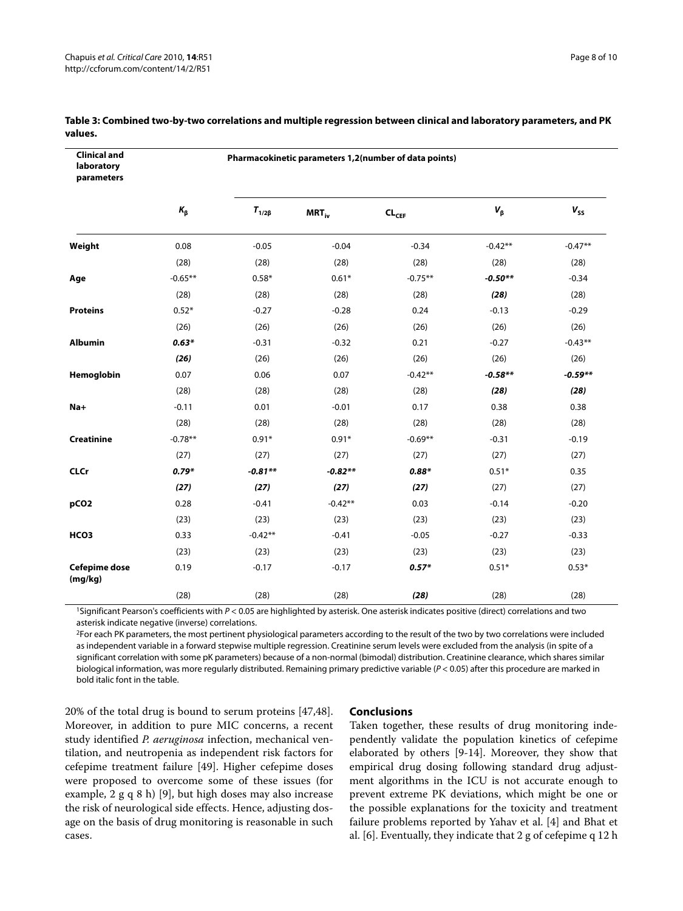| <b>Clinical and</b><br>laboratory<br>parameters | Pharmacokinetic parameters 1,2(number of data points) |                |            |                     |             |           |  |
|-------------------------------------------------|-------------------------------------------------------|----------------|------------|---------------------|-------------|-----------|--|
|                                                 | $K_{\beta}$                                           | $T_{1/2\beta}$ | $MRT_{iv}$ | $CL$ <sub>CEF</sub> | $V_{\beta}$ | $V_{SS}$  |  |
| Weight                                          | 0.08                                                  | $-0.05$        | $-0.04$    | $-0.34$             | $-0.42**$   | $-0.47**$ |  |
|                                                 | (28)                                                  | (28)           | (28)       | (28)                | (28)        | (28)      |  |
| Age                                             | $-0.65**$                                             | $0.58*$        | $0.61*$    | $-0.75**$           | $-0.50**$   | $-0.34$   |  |
|                                                 | (28)                                                  | (28)           | (28)       | (28)                | (28)        | (28)      |  |
| <b>Proteins</b>                                 | $0.52*$                                               | $-0.27$        | $-0.28$    | 0.24                | $-0.13$     | $-0.29$   |  |
|                                                 | (26)                                                  | (26)           | (26)       | (26)                | (26)        | (26)      |  |
| <b>Albumin</b>                                  | $0.63*$                                               | $-0.31$        | $-0.32$    | 0.21                | $-0.27$     | $-0.43**$ |  |
|                                                 | (26)                                                  | (26)           | (26)       | (26)                | (26)        | (26)      |  |
| Hemoglobin                                      | 0.07                                                  | 0.06           | 0.07       | $-0.42**$           | $-0.58**$   | $-0.59**$ |  |
|                                                 | (28)                                                  | (28)           | (28)       | (28)                | (28)        | (28)      |  |
| $Na+$                                           | $-0.11$                                               | 0.01           | $-0.01$    | 0.17                | 0.38        | 0.38      |  |
|                                                 | (28)                                                  | (28)           | (28)       | (28)                | (28)        | (28)      |  |
| <b>Creatinine</b>                               | $-0.78**$                                             | $0.91*$        | $0.91*$    | $-0.69**$           | $-0.31$     | $-0.19$   |  |
|                                                 | (27)                                                  | (27)           | (27)       | (27)                | (27)        | (27)      |  |
| <b>CLCr</b>                                     | $0.79*$                                               | $-0.81**$      | $-0.82**$  | $0.88*$             | $0.51*$     | 0.35      |  |
|                                                 | (27)                                                  | (27)           | (27)       | (27)                | (27)        | (27)      |  |
| pCO <sub>2</sub>                                | 0.28                                                  | $-0.41$        | $-0.42**$  | 0.03                | $-0.14$     | $-0.20$   |  |
|                                                 | (23)                                                  | (23)           | (23)       | (23)                | (23)        | (23)      |  |
| HCO <sub>3</sub>                                | 0.33                                                  | $-0.42**$      | $-0.41$    | $-0.05$             | $-0.27$     | $-0.33$   |  |
|                                                 | (23)                                                  | (23)           | (23)       | (23)                | (23)        | (23)      |  |
| <b>Cefepime dose</b><br>(mg/kg)                 | 0.19                                                  | $-0.17$        | $-0.17$    | $0.57*$             | $0.51*$     | $0.53*$   |  |
|                                                 | (28)                                                  | (28)           | (28)       | (28)                | (28)        | (28)      |  |

#### **Table 3: Combined two-by-two correlations and multiple regression between clinical and laboratory parameters, and PK values.**

1Significant Pearson's coefficients with P < 0.05 are highlighted by asterisk. One asterisk indicates positive (direct) correlations and two asterisk indicate negative (inverse) correlations.

<sup>2</sup>For each PK parameters, the most pertinent physiological parameters according to the result of the two by two correlations were included as independent variable in a forward stepwise multiple regression. Creatinine serum levels were excluded from the analysis (in spite of a significant correlation with some pK parameters) because of a non-normal (bimodal) distribution. Creatinine clearance, which shares similar biological information, was more regularly distributed. Remaining primary predictive variable ( $P < 0.05$ ) after this procedure are marked in bold italic font in the table.

20% of the total drug is bound to serum proteins [\[47](#page-9-25)[,48](#page-9-26)]. Moreover, in addition to pure MIC concerns, a recent study identified *P. aeruginosa* infection, mechanical ventilation, and neutropenia as independent risk factors for cefepime treatment failure [\[49](#page-9-27)]. Higher cefepime doses were proposed to overcome some of these issues (for example, 2 g q 8 h) [[9\]](#page-8-8), but high doses may also increase the risk of neurological side effects. Hence, adjusting dosage on the basis of drug monitoring is reasonable in such cases.

## **Conclusions**

Taken together, these results of drug monitoring independently validate the population kinetics of cefepime elaborated by others [[9-](#page-8-8)[14](#page-9-0)]. Moreover, they show that empirical drug dosing following standard drug adjustment algorithms in the ICU is not accurate enough to prevent extreme PK deviations, which might be one or the possible explanations for the toxicity and treatment failure problems reported by Yahav et al. [[4\]](#page-8-3) and Bhat et al. [\[6](#page-8-5)]. Eventually, they indicate that 2 g of cefepime q 12 h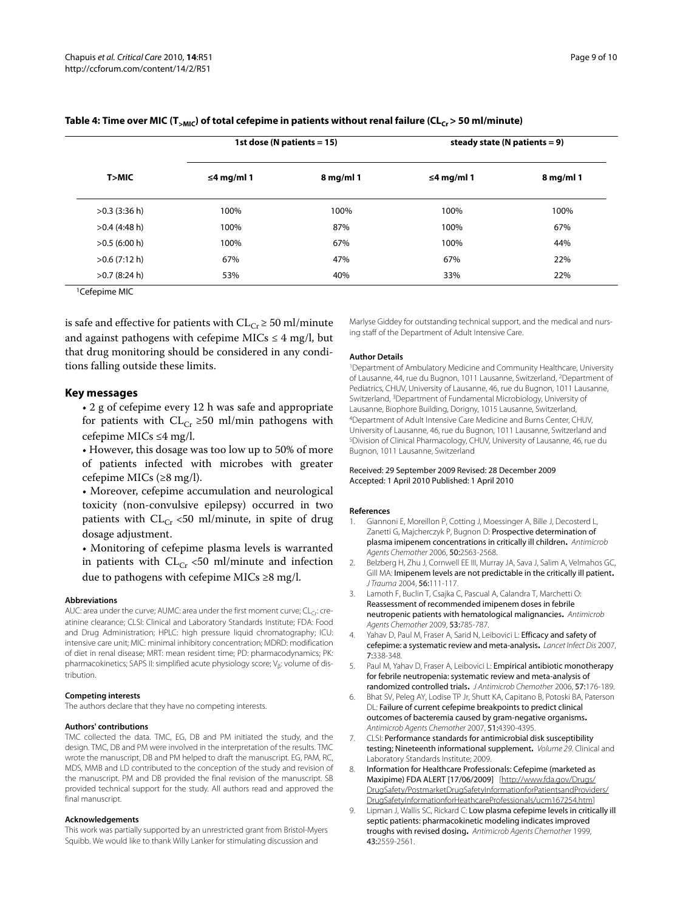|                           | 1st dose (N patients $= 15$ ) |             | steady state (N patients $= 9$ ) |             |
|---------------------------|-------------------------------|-------------|----------------------------------|-------------|
| T>MIC                     | ≤4 mg/ml 1                    | $8$ mg/ml 1 | ≤4 mg/ml 1                       | $8$ mg/ml 1 |
| $>0.3$ (3:36 h)           | 100%                          | 100%        | 100%                             | 100%        |
| $>0.4$ (4:48 h)           | 100%                          | 87%         | 100%                             | 67%         |
| $>0.5$ (6:00 h)           | 100%                          | 67%         | 100%                             | 44%         |
| $>0.6$ (7:12 h)           | 67%                           | 47%         | 67%                              | 22%         |
| $>0.7$ (8:24 h)           | 53%                           | 40%         | 33%                              | 22%         |
| <sup>1</sup> Cefepime MIC |                               |             |                                  |             |

#### Table 4: Time over MIC (T<sub>>MIC</sub>) of total cefepime in patients without renal failure (CL<sub>Cr</sub> > 50 ml/minute)

is safe and effective for patients with  $CL_{Cr} \ge 50$  ml/minute and against pathogens with cefepime MICs  $\leq$  4 mg/l, but that drug monitoring should be considered in any conditions falling outside these limits.

#### **Key messages**

• 2 g of cefepime every 12 h was safe and appropriate for patients with  $CL_{Cr} \geq 50$  ml/min pathogens with cefepime MICs ≤4 mg/l.

• However, this dosage was too low up to 50% of more of patients infected with microbes with greater cefepime MICs (≥8 mg/l).

• Moreover, cefepime accumulation and neurological toxicity (non-convulsive epilepsy) occurred in two patients with  $CL_{Cr}$  <50 ml/minute, in spite of drug dosage adjustment.

• Monitoring of cefepime plasma levels is warranted in patients with  $CL_{Cr}$  <50 ml/minute and infection due to pathogens with cefepime MICs ≥8 mg/l.

#### **Abbreviations**

AUC: area under the curve; AUMC: area under the first moment curve;  $CL<sub>ci</sub>$ : creatinine clearance; CLSI: Clinical and Laboratory Standards Institute; FDA: Food and Drug Administration; HPLC: high pressure liquid chromatography; ICU: intensive care unit; MIC: minimal inhibitory concentration; MDRD: modification of diet in renal disease; MRT: mean resident time; PD: pharmacodynamics; PK: pharmacokinetics; SAPS II: simplified acute physiology score; V<sub>β</sub>: volume of distribution.

#### **Competing interests**

The authors declare that they have no competing interests.

#### **Authors' contributions**

TMC collected the data. TMC, EG, DB and PM initiated the study, and the design. TMC, DB and PM were involved in the interpretation of the results. TMC wrote the manuscript, DB and PM helped to draft the manuscript. EG, PAM, RC, MDS, MMB and LD contributed to the conception of the study and revision of the manuscript. PM and DB provided the final revision of the manuscript. SB provided technical support for the study. All authors read and approved the final manuscript.

#### **Acknowledgements**

This work was partially supported by an unrestricted grant from Bristol-Myers Squibb. We would like to thank Willy Lanker for stimulating discussion and

Marlyse Giddey for outstanding technical support, and the medical and nursing staff of the Department of Adult Intensive Care.

#### **Author Details**

1Department of Ambulatory Medicine and Community Healthcare, University of Lausanne, 44, rue du Bugnon, 1011 Lausanne, Switzerland, 2Department of Pediatrics, CHUV, University of Lausanne, 46, rue du Bugnon, 1011 Lausanne, Switzerland, 3Department of Fundamental Microbiology, University of Lausanne, Biophore Building, Dorigny, 1015 Lausanne, Switzerland,<br><sup>4</sup>Department of Adult Intensive Care Medicine and Burns Center, CHUV, University of Lausanne, 46, rue du Bugnon, 1011 Lausanne, Switzerland and 5Division of Clinical Pharmacology, CHUV, University of Lausanne, 46, rue du Bugnon, 1011 Lausanne, Switzerland

#### Received: 29 September 2009 Revised: 28 December 2009 Accepted: 1 April 2010 Published: 1 April 2010

#### **References**

- <span id="page-8-0"></span>Giannoni E, Moreillon P, Cotting J, Moessinger A, Bille J, Decosterd L, Zanetti G, Majcherczyk P, Bugnon D: Prospective determination of plasma imipenem concentrations in critically ill children**.** Antimicrob Agents Chemother 2006, 50:2563-2568.
- <span id="page-8-1"></span>2. Belzberg H, Zhu J, Cornwell EE III, Murray JA, Sava J, Salim A, Velmahos GC, Gill MA: Imipenem levels are not predictable in the critically ill patient**[.](http://www.ncbi.nlm.nih.gov/entrez/query.fcgi?cmd=Retrieve&db=PubMed&dopt=Abstract&list_uids=14749576)** J Trauma 2004, 56:111-117.
- <span id="page-8-2"></span>3. Lamoth F, Buclin T, Csajka C, Pascual A, Calandra T, Marchetti O: Reassessment of recommended imipenem doses in febrile neutropenic patients with hematological malignancies**.** Antimicrob Agents Chemother 2009, 53:785-787.
- <span id="page-8-3"></span>4. Yahav D, Paul M, Fraser A, Sarid N, Leibovici L: Efficacy and safety of cefepime: a systematic review and meta-analysis**.** Lancet Infect Dis 2007, 7:338-348.
- <span id="page-8-4"></span>5. Paul M, Yahav D, Fraser A, Leibovici L: Empirical antibiotic monotherapy for febrile neutropenia: systematic review and meta-analysis of randomized controlled trials**.** J Antimicrob Chemother 2006, 57:176-189.
- <span id="page-8-5"></span>6. Bhat SV, Peleg AY, Lodise TP Jr, Shutt KA, Capitano B, Potoski BA, Paterson DL: Failure of current cefepime breakpoints to predict clinical outcomes of bacteremia caused by gram-negative organisms**.** Antimicrob Agents Chemother 2007, 51:4390-4395.
- <span id="page-8-6"></span>7. CLSI: Performance standards for antimicrobial disk susceptibility testing; Nineteenth informational supplement**.** Volume 29. Clinical and Laboratory Standards Institute; 2009.
- <span id="page-8-7"></span>Information for Healthcare Professionals: Cefepime (marketed as Maxipime) FDA ALERT [17/06/2009] [\[http://www.fda.gov/Drugs/](http://www.fda.gov/Drugs/DrugSafety/PostmarketDrugSafetyInformationforPatientsandProviders/DrugSafetyInformationforHeathcareProfessionals/ucm167254.htm) [DrugSafety/PostmarketDrugSafetyInformationforPatientsandProviders/](http://www.fda.gov/Drugs/DrugSafety/PostmarketDrugSafetyInformationforPatientsandProviders/DrugSafetyInformationforHeathcareProfessionals/ucm167254.htm) [DrugSafetyInformationforHeathcareProfessionals/ucm167254.htm\]](http://www.fda.gov/Drugs/DrugSafety/PostmarketDrugSafetyInformationforPatientsandProviders/DrugSafetyInformationforHeathcareProfessionals/ucm167254.htm)
- <span id="page-8-8"></span>9. Lipman J, Wallis SC, Rickard C: Low plasma cefepime levels in critically ill septic patients: pharmacokinetic modeling indicates improved troughs with revised dosing**.** Antimicrob Agents Chemother 1999, 43:2559-2561.